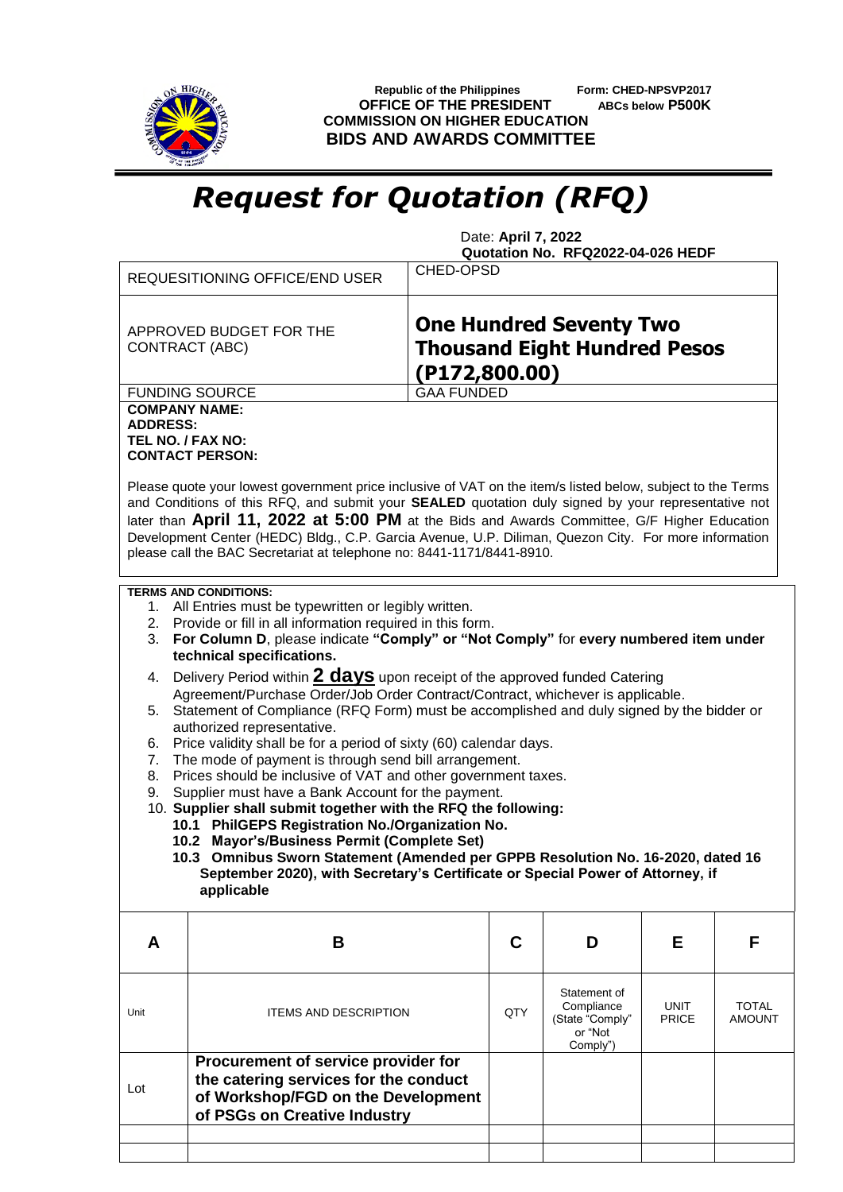

 **Republic of the Philippines Form: CHED-NPSVP2017 OFFICE OF THE PRESIDENT ABCs below P500K COMMISSION ON HIGHER EDUCATION BIDS AND AWARDS COMMITTEE**

## *Request for Quotation (RFQ)*

 Date: **April 7, 2022 Quotation No. RFQ2022-04-026 HEDF**

|                                                                                                                                                                                                                                                                                                                                                                            | REQUESITIONING OFFICE/END USER                                                                                                                                                                                                                                                                                                                                                      | <b>CHED-OPSD</b>  |                                                                                        |                                                                      |                             |                        |  |  |
|----------------------------------------------------------------------------------------------------------------------------------------------------------------------------------------------------------------------------------------------------------------------------------------------------------------------------------------------------------------------------|-------------------------------------------------------------------------------------------------------------------------------------------------------------------------------------------------------------------------------------------------------------------------------------------------------------------------------------------------------------------------------------|-------------------|----------------------------------------------------------------------------------------|----------------------------------------------------------------------|-----------------------------|------------------------|--|--|
|                                                                                                                                                                                                                                                                                                                                                                            | APPROVED BUDGET FOR THE<br><b>CONTRACT (ABC)</b>                                                                                                                                                                                                                                                                                                                                    |                   | <b>One Hundred Seventy Two</b><br><b>Thousand Eight Hundred Pesos</b><br>(P172,800.00) |                                                                      |                             |                        |  |  |
|                                                                                                                                                                                                                                                                                                                                                                            | <b>FUNDING SOURCE</b>                                                                                                                                                                                                                                                                                                                                                               | <b>GAA FUNDED</b> |                                                                                        |                                                                      |                             |                        |  |  |
| <b>COMPANY NAME:</b><br><b>ADDRESS:</b><br>TEL NO. / FAX NO:                                                                                                                                                                                                                                                                                                               | <b>CONTACT PERSON:</b><br>Please quote your lowest government price inclusive of VAT on the item/s listed below, subject to the Terms                                                                                                                                                                                                                                               |                   |                                                                                        |                                                                      |                             |                        |  |  |
|                                                                                                                                                                                                                                                                                                                                                                            | and Conditions of this RFQ, and submit your SEALED quotation duly signed by your representative not<br>later than April 11, 2022 at 5:00 PM at the Bids and Awards Committee, G/F Higher Education<br>Development Center (HEDC) Bldg., C.P. Garcia Avenue, U.P. Diliman, Quezon City. For more information<br>please call the BAC Secretariat at telephone no: 8441-1171/8441-8910. |                   |                                                                                        |                                                                      |                             |                        |  |  |
| 3.                                                                                                                                                                                                                                                                                                                                                                         | <b>TERMS AND CONDITIONS:</b><br>1. All Entries must be typewritten or legibly written.<br>2. Provide or fill in all information required in this form.<br>For Column D, please indicate "Comply" or "Not Comply" for every numbered item under<br>technical specifications.                                                                                                         |                   |                                                                                        |                                                                      |                             |                        |  |  |
| Delivery Period within 2 days upon receipt of the approved funded Catering<br>4.<br>Agreement/Purchase Order/Job Order Contract/Contract, whichever is applicable.<br>5. Statement of Compliance (RFQ Form) must be accomplished and duly signed by the bidder or<br>authorized representative.<br>Price validity shall be for a period of sixty (60) calendar days.<br>6. |                                                                                                                                                                                                                                                                                                                                                                                     |                   |                                                                                        |                                                                      |                             |                        |  |  |
| The mode of payment is through send bill arrangement.<br>7.<br>Prices should be inclusive of VAT and other government taxes.<br>8.<br>Supplier must have a Bank Account for the payment.<br>9.<br>10. Supplier shall submit together with the RFQ the following:                                                                                                           |                                                                                                                                                                                                                                                                                                                                                                                     |                   |                                                                                        |                                                                      |                             |                        |  |  |
|                                                                                                                                                                                                                                                                                                                                                                            | 10.1 PhilGEPS Registration No./Organization No.<br>10.2 Mayor's/Business Permit (Complete Set)<br>10.3 Omnibus Sworn Statement (Amended per GPPB Resolution No. 16-2020, dated 16<br>September 2020), with Secretary's Certificate or Special Power of Attorney, if<br>applicable                                                                                                   |                   |                                                                                        |                                                                      |                             |                        |  |  |
| A                                                                                                                                                                                                                                                                                                                                                                          | B                                                                                                                                                                                                                                                                                                                                                                                   |                   | C                                                                                      | D                                                                    | Е                           | F                      |  |  |
| Unit                                                                                                                                                                                                                                                                                                                                                                       | <b>ITEMS AND DESCRIPTION</b>                                                                                                                                                                                                                                                                                                                                                        |                   | QTY                                                                                    | Statement of<br>Compliance<br>(State "Comply"<br>or "Not<br>Comply") | <b>UNIT</b><br><b>PRICE</b> | TOTAL<br><b>AMOUNT</b> |  |  |
| Lot                                                                                                                                                                                                                                                                                                                                                                        | Procurement of service provider for<br>the catering services for the conduct<br>of Workshop/FGD on the Development<br>of PSGs on Creative Industry                                                                                                                                                                                                                                  |                   |                                                                                        |                                                                      |                             |                        |  |  |
|                                                                                                                                                                                                                                                                                                                                                                            |                                                                                                                                                                                                                                                                                                                                                                                     |                   |                                                                                        |                                                                      |                             |                        |  |  |
|                                                                                                                                                                                                                                                                                                                                                                            |                                                                                                                                                                                                                                                                                                                                                                                     |                   |                                                                                        |                                                                      |                             |                        |  |  |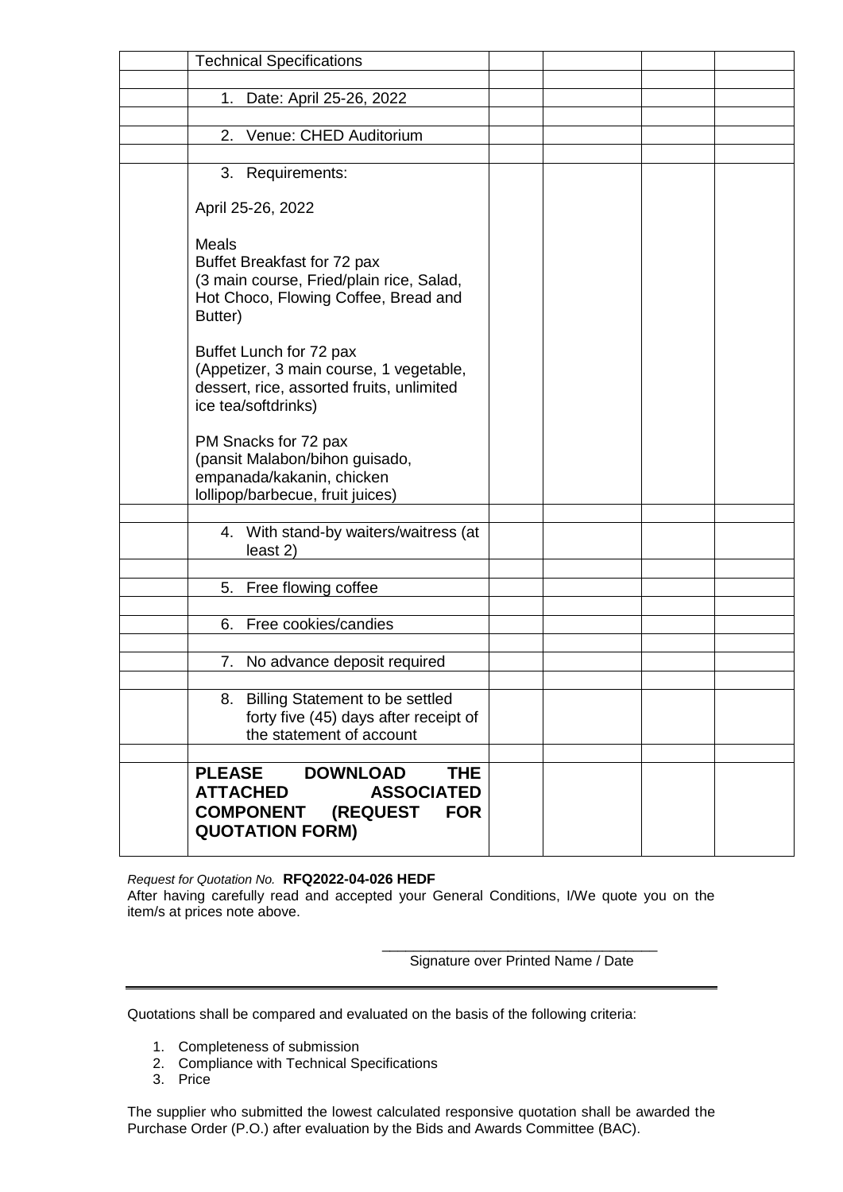| <b>Technical Specifications</b>                                                                                                        |                          |  |  |
|----------------------------------------------------------------------------------------------------------------------------------------|--------------------------|--|--|
| 1. Date: April 25-26, 2022                                                                                                             |                          |  |  |
|                                                                                                                                        |                          |  |  |
| Venue: CHED Auditorium<br>2.                                                                                                           |                          |  |  |
|                                                                                                                                        |                          |  |  |
| 3. Requirements:                                                                                                                       |                          |  |  |
| April 25-26, 2022                                                                                                                      |                          |  |  |
| Meals<br>Buffet Breakfast for 72 pax<br>(3 main course, Fried/plain rice, Salad,<br>Hot Choco, Flowing Coffee, Bread and<br>Butter)    |                          |  |  |
| Buffet Lunch for 72 pax<br>(Appetizer, 3 main course, 1 vegetable,<br>dessert, rice, assorted fruits, unlimited<br>ice tea/softdrinks) |                          |  |  |
| PM Snacks for 72 pax<br>(pansit Malabon/bihon guisado,<br>empanada/kakanin, chicken<br>Iollipop/barbecue, fruit juices)                |                          |  |  |
|                                                                                                                                        |                          |  |  |
| 4. With stand-by waiters/waitress (at<br>least 2)                                                                                      |                          |  |  |
| 5. Free flowing coffee                                                                                                                 |                          |  |  |
|                                                                                                                                        |                          |  |  |
| Free cookies/candies<br>6.                                                                                                             |                          |  |  |
|                                                                                                                                        |                          |  |  |
| 7. No advance deposit required                                                                                                         |                          |  |  |
| 8. Billing Statement to be settled<br>forty five (45) days after receipt of<br>the statement of account                                |                          |  |  |
|                                                                                                                                        |                          |  |  |
| <b>DOWNLOAD</b><br><b>PLEASE</b><br><b>ATTACHED</b><br><b>ASSOCIATED</b><br><b>COMPONENT</b><br>(REQUEST<br><b>QUOTATION FORM)</b>     | <b>THE</b><br><b>FOR</b> |  |  |

*Request for Quotation No.* **RFQ2022-04-026 HEDF**

After having carefully read and accepted your General Conditions, I/We quote you on the item/s at prices note above.

> \_\_\_\_\_\_\_\_\_\_\_\_\_\_\_\_\_\_\_\_\_\_\_\_\_\_\_\_\_\_\_\_\_\_\_ Signature over Printed Name / Date

Quotations shall be compared and evaluated on the basis of the following criteria:

- 1. Completeness of submission
- 2. Compliance with Technical Specifications
- 3. Price

The supplier who submitted the lowest calculated responsive quotation shall be awarded the Purchase Order (P.O.) after evaluation by the Bids and Awards Committee (BAC).